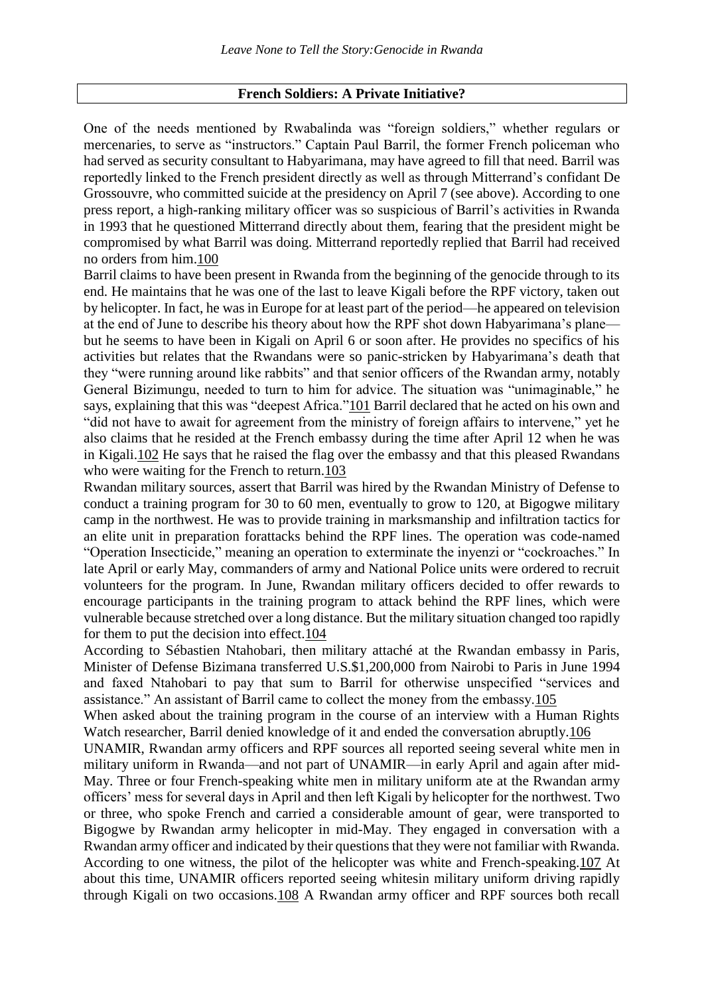## **French Soldiers: A Private Initiative?**

One of the needs mentioned by Rwabalinda was "foreign soldiers," whether regulars or mercenaries, to serve as "instructors." Captain Paul Barril, the former French policeman who had served as security consultant to Habyarimana, may have agreed to fill that need. Barril was reportedly linked to the French president directly as well as through Mitterrand's confidant De Grossouvre, who committed suicide at the presidency on April 7 (see above). According to one press report, a high-ranking military officer was so suspicious of Barril's activities in Rwanda in 1993 that he questioned Mitterrand directly about them, fearing that the president might be compromised by what Barril was doing. Mitterrand reportedly replied that Barril had received no orders from him[.100](https://www.hrw.org/reports/1999/rwanda/Geno15-8-02.htm#P524_170264)

Barril claims to have been present in Rwanda from the beginning of the genocide through to its end. He maintains that he was one of the last to leave Kigali before the RPF victory, taken out by helicopter. In fact, he was in Europe for at least part of the period—he appeared on television at the end of June to describe his theory about how the RPF shot down Habyarimana's plane but he seems to have been in Kigali on April 6 or soon after. He provides no specifics of his activities but relates that the Rwandans were so panic-stricken by Habyarimana's death that they "were running around like rabbits" and that senior officers of the Rwandan army, notably General Bizimungu, needed to turn to him for advice. The situation was "unimaginable," he says, explaining that this was "deepest Africa.["101](https://www.hrw.org/reports/1999/rwanda/Geno15-8-02.htm#P526_171128) Barril declared that he acted on his own and "did not have to await for agreement from the ministry of foreign affairs to intervene," yet he also claims that he resided at the French embassy during the time after April 12 when he was in Kigali[.102](https://www.hrw.org/reports/1999/rwanda/Geno15-8-02.htm#P527_171449) He says that he raised the flag over the embassy and that this pleased Rwandans who were waiting for the French to return[.103](https://www.hrw.org/reports/1999/rwanda/Geno15-8-02.htm#P528_171664)

Rwandan military sources, assert that Barril was hired by the Rwandan Ministry of Defense to conduct a training program for 30 to 60 men, eventually to grow to 120, at Bigogwe military camp in the northwest. He was to provide training in marksmanship and infiltration tactics for an elite unit in preparation forattacks behind the RPF lines. The operation was code-named "Operation Insecticide," meaning an operation to exterminate the inyenzi or "cockroaches." In late April or early May, commanders of army and National Police units were ordered to recruit volunteers for the program. In June, Rwandan military officers decided to offer rewards to encourage participants in the training program to attack behind the RPF lines, which were vulnerable because stretched over a long distance. But the military situation changed too rapidly for them to put the decision into effect[.104](https://www.hrw.org/reports/1999/rwanda/Geno15-8-02.htm#P530_172619)

According to Sébastien Ntahobari, then military attaché at the Rwandan embassy in Paris, Minister of Defense Bizimana transferred U.S.\$1,200,000 from Nairobi to Paris in June 1994 and faxed Ntahobari to pay that sum to Barril for otherwise unspecified "services and assistance." An assistant of Barril came to collect the money from the embassy[.105](https://www.hrw.org/reports/1999/rwanda/Geno15-8-02.htm#P532_173052)

When asked about the training program in the course of an interview with a Human Rights Watch researcher, Barril denied knowledge of it and ended the conversation abruptly[.106](https://www.hrw.org/reports/1999/rwanda/Geno15-8-02.htm#P534_173311)

UNAMIR, Rwandan army officers and RPF sources all reported seeing several white men in military uniform in Rwanda—and not part of UNAMIR—in early April and again after mid-May. Three or four French-speaking white men in military uniform ate at the Rwandan army officers' mess for several days in April and then left Kigali by helicopter for the northwest. Two or three, who spoke French and carried a considerable amount of gear, were transported to Bigogwe by Rwandan army helicopter in mid-May. They engaged in conversation with a Rwandan army officer and indicated by their questions that they were not familiar with Rwanda. According to one witness, the pilot of the helicopter was white and French-speaking[.107](https://www.hrw.org/reports/1999/rwanda/Geno15-8-02.htm#P536_174099) At about this time, UNAMIR officers reported seeing whitesin military uniform driving rapidly through Kigali on two occasions[.108](https://www.hrw.org/reports/1999/rwanda/Geno15-8-02.htm#P537_174336) A Rwandan army officer and RPF sources both recall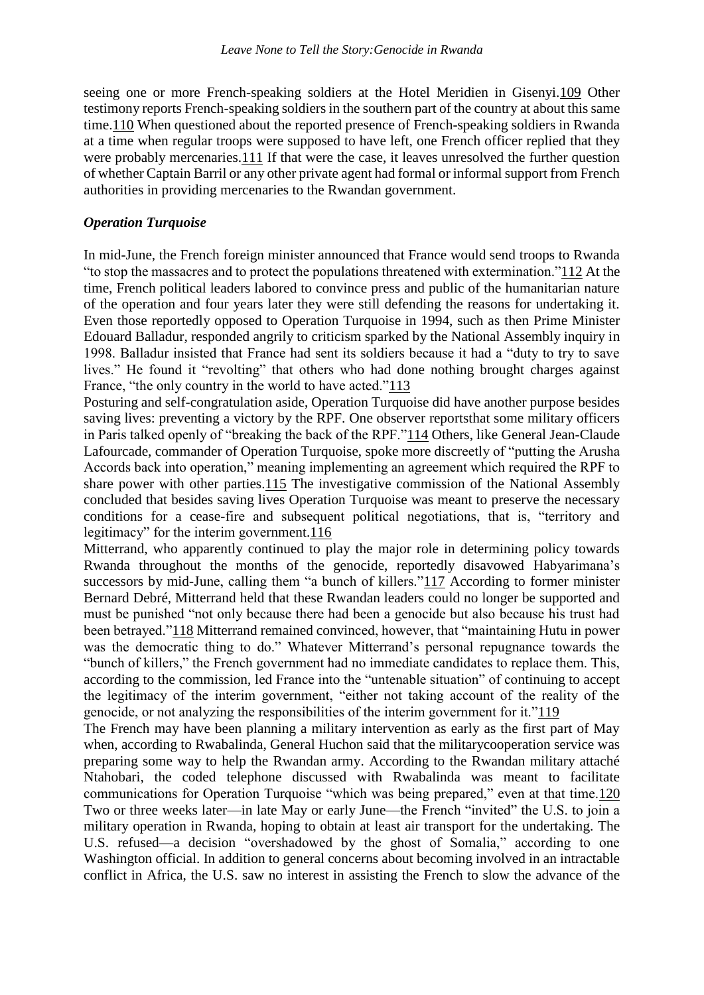seeing one or more French-speaking soldiers at the Hotel Meridien in Gisenyi[.109](https://www.hrw.org/reports/1999/rwanda/Geno15-8-02.htm#P538_174529) Other testimony reports French-speaking soldiers in the southern part of the country at about this same time[.110](https://www.hrw.org/reports/1999/rwanda/Geno15-8-02.htm#P539_174758) When questioned about the reported presence of French-speaking soldiers in Rwanda at a time when regular troops were supposed to have left, one French officer replied that they were probably mercenaries[.111](https://www.hrw.org/reports/1999/rwanda/Geno15-8-02.htm#P540_175050) If that were the case, it leaves unresolved the further question of whether Captain Barril or any other private agent had formal or informal support from French authorities in providing mercenaries to the Rwandan government.

# *Operation Turquoise*

In mid-June, the French foreign minister announced that France would send troops to Rwanda "to stop the massacres and to protect the populations threatened with extermination.["112](https://www.hrw.org/reports/1999/rwanda/Geno15-8-02.htm#P544_175532) At the time, French political leaders labored to convince press and public of the humanitarian nature of the operation and four years later they were still defending the reasons for undertaking it. Even those reportedly opposed to Operation Turquoise in 1994, such as then Prime Minister Edouard Balladur, responded angrily to criticism sparked by the National Assembly inquiry in 1998. Balladur insisted that France had sent its soldiers because it had a "duty to try to save lives." He found it "revolting" that others who had done nothing brought charges against France, "the only country in the world to have acted.["113](https://www.hrw.org/reports/1999/rwanda/Geno15-8-02.htm#P545_176184)

Posturing and self-congratulation aside, Operation Turquoise did have another purpose besides saving lives: preventing a victory by the RPF. One observer reportsthat some military officers in Paris talked openly of "breaking the back of the RPF.["114](https://www.hrw.org/reports/1999/rwanda/Geno15-8-02.htm#P547_176534) Others, like General Jean-Claude Lafourcade, commander of Operation Turquoise, spoke more discreetly of "putting the Arusha Accords back into operation," meaning implementing an agreement which required the RPF to share power with other parties[.115](https://www.hrw.org/reports/1999/rwanda/Geno15-8-02.htm#P548_176816) The investigative commission of the National Assembly concluded that besides saving lives Operation Turquoise was meant to preserve the necessary conditions for a cease-fire and subsequent political negotiations, that is, "territory and legitimacy" for the interim government[.116](https://www.hrw.org/reports/1999/rwanda/Geno15-8-02.htm#P549_177180)

Mitterrand, who apparently continued to play the major role in determining policy towards Rwanda throughout the months of the genocide, reportedly disavowed Habyarimana's successors by mid-June, calling them "a bunch of killers.["117](https://www.hrw.org/reports/1999/rwanda/Geno15-8-02.htm#P551_177424) According to former minister Bernard Debré, Mitterrand held that these Rwandan leaders could no longer be supported and must be punished "not only because there had been a genocide but also because his trust had been betrayed.["118](https://www.hrw.org/reports/1999/rwanda/Geno15-8-02.htm#P552_177902) Mitterrand remained convinced, however, that "maintaining Hutu in power was the democratic thing to do." Whatever Mitterrand's personal repugnance towards the "bunch of killers," the French government had no immediate candidates to replace them. This, according to the commission, led France into the "untenable situation" of continuing to accept the legitimacy of the interim government, "either not taking account of the reality of the genocide, or not analyzing the responsibilities of the interim government for it.["119](https://www.hrw.org/reports/1999/rwanda/Geno15-8-02.htm#P553_178523)

The French may have been planning a military intervention as early as the first part of May when, according to Rwabalinda, General Huchon said that the militarycooperation service was preparing some way to help the Rwandan army. According to the Rwandan military attaché Ntahobari, the coded telephone discussed with Rwabalinda was meant to facilitate communications for Operation Turquoise "which was being prepared," even at that time[.120](https://www.hrw.org/reports/1999/rwanda/Geno15-8-02.htm#P555_179046) Two or three weeks later—in late May or early June—the French "invited" the U.S. to join a military operation in Rwanda, hoping to obtain at least air transport for the undertaking. The U.S. refused—a decision "overshadowed by the ghost of Somalia," according to one Washington official. In addition to general concerns about becoming involved in an intractable conflict in Africa, the U.S. saw no interest in assisting the French to slow the advance of the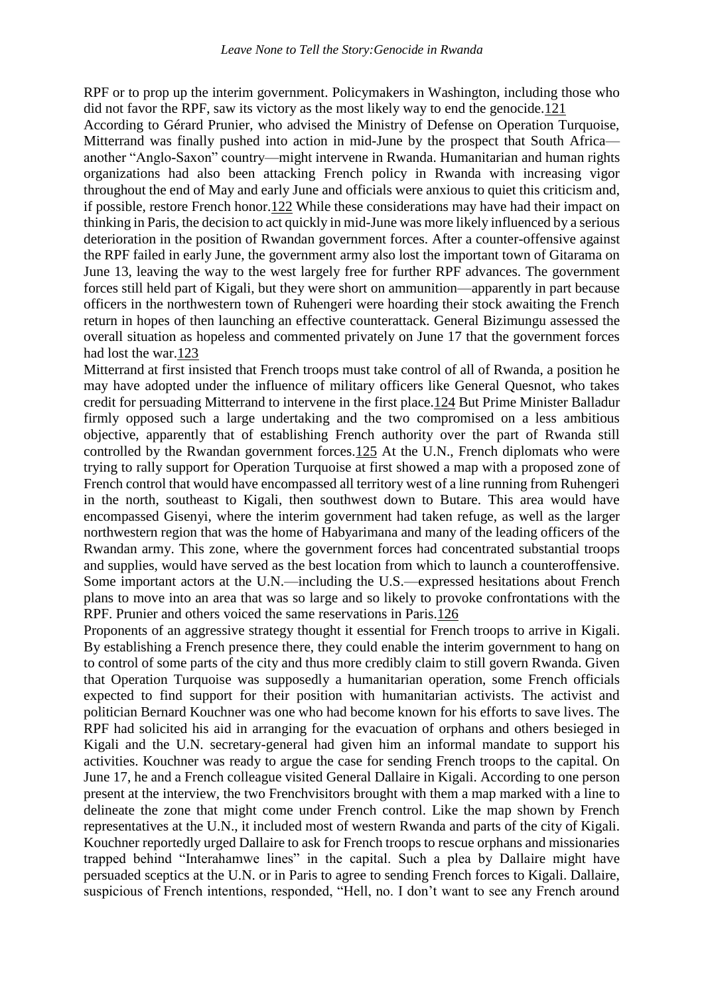RPF or to prop up the interim government. Policymakers in Washington, including those who did not favor the RPF, saw its victory as the most likely way to end the genocide[.121](https://www.hrw.org/reports/1999/rwanda/Geno15-8-02.htm#P556_179764)

According to Gérard Prunier, who advised the Ministry of Defense on Operation Turquoise, Mitterrand was finally pushed into action in mid-June by the prospect that South Africa another "Anglo-Saxon" country—might intervene in Rwanda. Humanitarian and human rights organizations had also been attacking French policy in Rwanda with increasing vigor throughout the end of May and early June and officials were anxious to quiet this criticism and, if possible, restore French honor[.122](https://www.hrw.org/reports/1999/rwanda/Geno15-8-02.htm#P558_180311) While these considerations may have had their impact on thinking in Paris, the decision to act quickly in mid-June was more likely influenced by a serious deterioration in the position of Rwandan government forces. After a counter-offensive against the RPF failed in early June, the government army also lost the important town of Gitarama on June 13, leaving the way to the west largely free for further RPF advances. The government forces still held part of Kigali, but they were short on ammunition—apparently in part because officers in the northwestern town of Ruhengeri were hoarding their stock awaiting the French return in hopes of then launching an effective counterattack. General Bizimungu assessed the overall situation as hopeless and commented privately on June 17 that the government forces had lost the war[.123](https://www.hrw.org/reports/1999/rwanda/Geno15-8-02.htm#P559_181253)

Mitterrand at first insisted that French troops must take control of all of Rwanda, a position he may have adopted under the influence of military officers like General Quesnot, who takes credit for persuading Mitterrand to intervene in the first place[.124](https://www.hrw.org/reports/1999/rwanda/Geno15-8-02.htm#P561_181570) But Prime Minister Balladur firmly opposed such a large undertaking and the two compromised on a less ambitious objective, apparently that of establishing French authority over the part of Rwanda still controlled by the Rwandan government forces[.125](https://www.hrw.org/reports/1999/rwanda/Geno15-8-02.htm#P562_181917) At the U.N., French diplomats who were trying to rally support for Operation Turquoise at first showed a map with a proposed zone of French control that would have encompassed all territory west of a line running from Ruhengeri in the north, southeast to Kigali, then southwest down to Butare. This area would have encompassed Gisenyi, where the interim government had taken refuge, as well as the larger northwestern region that was the home of Habyarimana and many of the leading officers of the Rwandan army. This zone, where the government forces had concentrated substantial troops and supplies, would have served as the best location from which to launch a counteroffensive. Some important actors at the U.N.—including the U.S.—expressed hesitations about French plans to move into an area that was so large and so likely to provoke confrontations with the RPF. Prunier and others voiced the same reservations in Paris[.126](https://www.hrw.org/reports/1999/rwanda/Geno15-8-02.htm#P563_182858)

Proponents of an aggressive strategy thought it essential for French troops to arrive in Kigali. By establishing a French presence there, they could enable the interim government to hang on to control of some parts of the city and thus more credibly claim to still govern Rwanda. Given that Operation Turquoise was supposedly a humanitarian operation, some French officials expected to find support for their position with humanitarian activists. The activist and politician Bernard Kouchner was one who had become known for his efforts to save lives. The RPF had solicited his aid in arranging for the evacuation of orphans and others besieged in Kigali and the U.N. secretary-general had given him an informal mandate to support his activities. Kouchner was ready to argue the case for sending French troops to the capital. On June 17, he and a French colleague visited General Dallaire in Kigali. According to one person present at the interview, the two Frenchvisitors brought with them a map marked with a line to delineate the zone that might come under French control. Like the map shown by French representatives at the U.N., it included most of western Rwanda and parts of the city of Kigali. Kouchner reportedly urged Dallaire to ask for French troops to rescue orphans and missionaries trapped behind "Interahamwe lines" in the capital. Such a plea by Dallaire might have persuaded sceptics at the U.N. or in Paris to agree to sending French forces to Kigali. Dallaire, suspicious of French intentions, responded, "Hell, no. I don't want to see any French around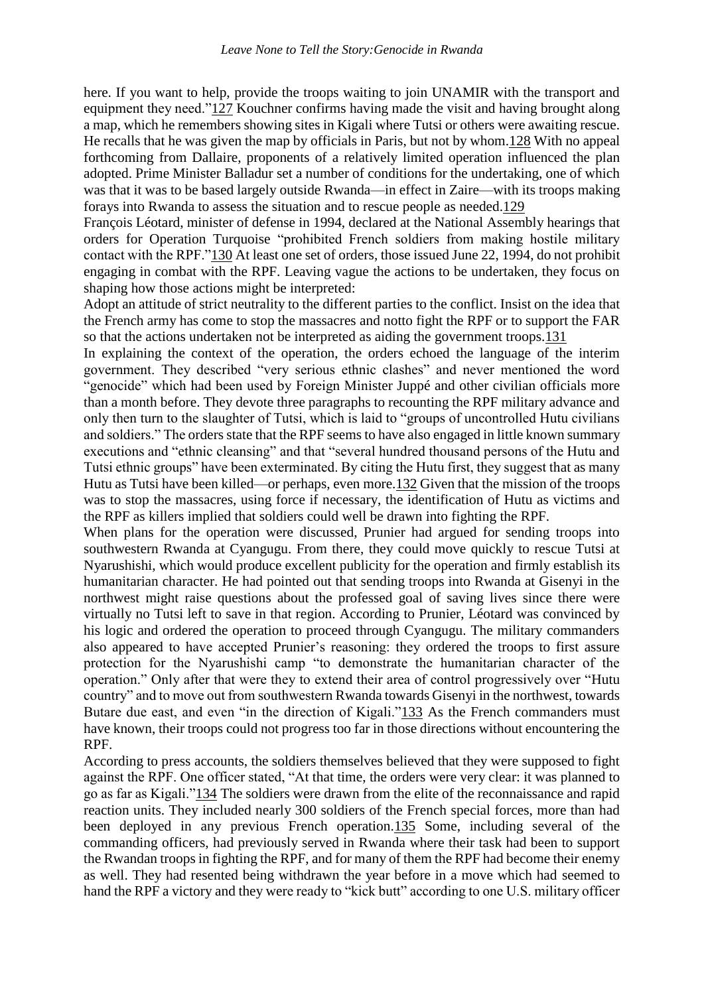here. If you want to help, provide the troops waiting to join UNAMIR with the transport and equipment they need.["127](https://www.hrw.org/reports/1999/rwanda/Geno15-8-02.htm#P565_184649) Kouchner confirms having made the visit and having brought along a map, which he remembers showing sites in Kigali where Tutsi or others were awaiting rescue. He recalls that he was given the map by officials in Paris, but not by whom[.128](https://www.hrw.org/reports/1999/rwanda/Geno15-8-02.htm#P566_184949) With no appeal forthcoming from Dallaire, proponents of a relatively limited operation influenced the plan adopted. Prime Minister Balladur set a number of conditions for the undertaking, one of which was that it was to be based largely outside Rwanda—in effect in Zaire—with its troops making forays into Rwanda to assess the situation and to rescue people as needed[.129](https://www.hrw.org/reports/1999/rwanda/Geno15-8-02.htm#P567_185393)

François Léotard, minister of defense in 1994, declared at the National Assembly hearings that orders for Operation Turquoise "prohibited French soldiers from making hostile military contact with the RPF.["130](https://www.hrw.org/reports/1999/rwanda/Geno15-8-02.htm#P569_185634) At least one set of orders, those issued June 22, 1994, do not prohibit engaging in combat with the RPF. Leaving vague the actions to be undertaken, they focus on shaping how those actions might be interpreted:

Adopt an attitude of strict neutrality to the different parties to the conflict. Insist on the idea that the French army has come to stop the massacres and notto fight the RPF or to support the FAR so that the actions undertaken not be interpreted as aiding the government troops[.131](https://www.hrw.org/reports/1999/rwanda/Geno15-8-02.htm#P572_186225)

In explaining the context of the operation, the orders echoed the language of the interim government. They described "very serious ethnic clashes" and never mentioned the word "genocide" which had been used by Foreign Minister Juppé and other civilian officials more than a month before. They devote three paragraphs to recounting the RPF military advance and only then turn to the slaughter of Tutsi, which is laid to "groups of uncontrolled Hutu civilians and soldiers." The orders state that the RPF seems to have also engaged in little known summary executions and "ethnic cleansing" and that "several hundred thousand persons of the Hutu and Tutsi ethnic groups" have been exterminated. By citing the Hutu first, they suggest that as many Hutu as Tutsi have been killed—or perhaps, even more[.132](https://www.hrw.org/reports/1999/rwanda/Geno15-8-02.htm#P575_187109) Given that the mission of the troops was to stop the massacres, using force if necessary, the identification of Hutu as victims and the RPF as killers implied that soldiers could well be drawn into fighting the RPF.

When plans for the operation were discussed, Prunier had argued for sending troops into southwestern Rwanda at Cyangugu. From there, they could move quickly to rescue Tutsi at Nyarushishi, which would produce excellent publicity for the operation and firmly establish its humanitarian character. He had pointed out that sending troops into Rwanda at Gisenyi in the northwest might raise questions about the professed goal of saving lives since there were virtually no Tutsi left to save in that region. According to Prunier, Léotard was convinced by his logic and ordered the operation to proceed through Cyangugu. The military commanders also appeared to have accepted Prunier's reasoning: they ordered the troops to first assure protection for the Nyarushishi camp "to demonstrate the humanitarian character of the operation." Only after that were they to extend their area of control progressively over "Hutu country" and to move out from southwestern Rwanda towards Gisenyi in the northwest, towards Butare due east, and even "in the direction of Kigali.["133](https://www.hrw.org/reports/1999/rwanda/Geno15-8-02.htm#P577_188403) As the French commanders must have known, their troops could not progress too far in those directions without encountering the RPF.

According to press accounts, the soldiers themselves believed that they were supposed to fight against the RPF. One officer stated, "At that time, the orders were very clear: it was planned to go as far as Kigali.["134](https://www.hrw.org/reports/1999/rwanda/Geno15-8-02.htm#P579_188875) The soldiers were drawn from the elite of the reconnaissance and rapid reaction units. They included nearly 300 soldiers of the French special forces, more than had been deployed in any previous French operation[.135](https://www.hrw.org/reports/1999/rwanda/Geno15-8-02.htm#P580_189168) Some, including several of the commanding officers, had previously served in Rwanda where their task had been to support the Rwandan troops in fighting the RPF, and for many of them the RPF had become their enemy as well. They had resented being withdrawn the year before in a move which had seemed to hand the RPF a victory and they were ready to "kick butt" according to one U.S. military officer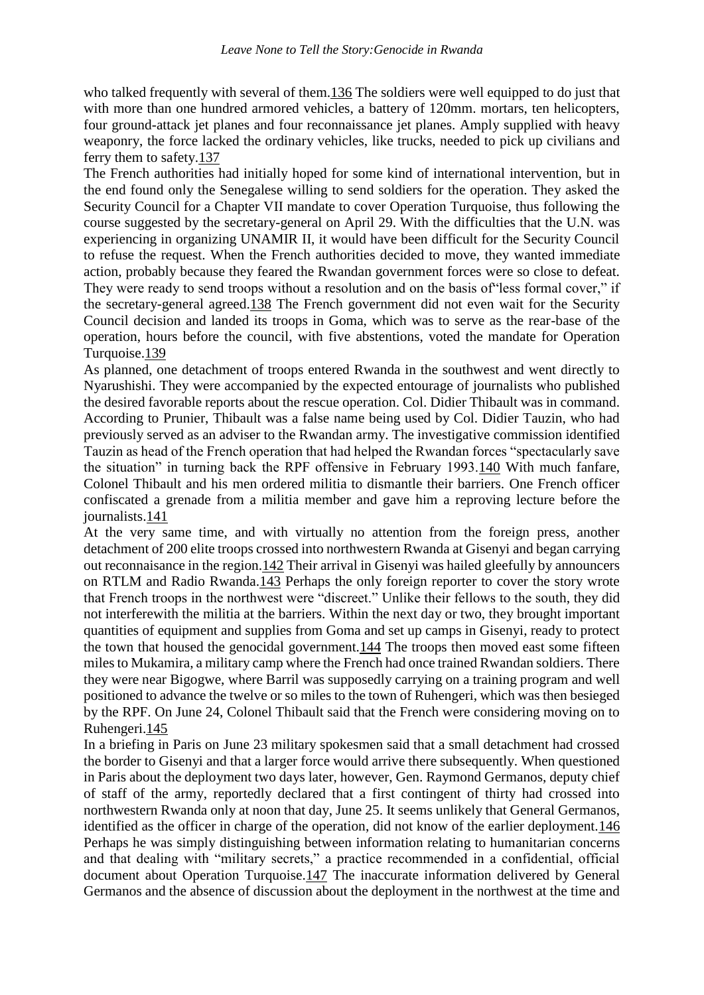who talked frequently with several of them[.136](https://www.hrw.org/reports/1999/rwanda/Geno15-8-02.htm#P581_189742) The soldiers were well equipped to do just that with more than one hundred armored vehicles, a battery of 120mm. mortars, ten helicopters, four ground-attack jet planes and four reconnaissance jet planes. Amply supplied with heavy weaponry, the force lacked the ordinary vehicles, like trucks, needed to pick up civilians and ferry them to safety[.137](https://www.hrw.org/reports/1999/rwanda/Geno15-8-02.htm#P582_190244)

The French authorities had initially hoped for some kind of international intervention, but in the end found only the Senegalese willing to send soldiers for the operation. They asked the Security Council for a Chapter VII mandate to cover Operation Turquoise, thus following the course suggested by the secretary-general on April 29. With the difficulties that the U.N. was experiencing in organizing UNAMIR II, it would have been difficult for the Security Council to refuse the request. When the French authorities decided to move, they wanted immediate action, probably because they feared the Rwandan government forces were so close to defeat. They were ready to send troops without a resolution and on the basis of 'less formal cover," if the secretary-general agreed[.138](https://www.hrw.org/reports/1999/rwanda/Geno15-8-02.htm#P584_191054) The French government did not even wait for the Security Council decision and landed its troops in Goma, which was to serve as the rear-base of the operation, hours before the council, with five abstentions, voted the mandate for Operation Turquoise[.139](https://www.hrw.org/reports/1999/rwanda/Geno15-8-02.htm#P585_191392)

As planned, one detachment of troops entered Rwanda in the southwest and went directly to Nyarushishi. They were accompanied by the expected entourage of journalists who published the desired favorable reports about the rescue operation. Col. Didier Thibault was in command. According to Prunier, Thibault was a false name being used by Col. Didier Tauzin, who had previously served as an adviser to the Rwandan army. The investigative commission identified Tauzin as head of the French operation that had helped the Rwandan forces "spectacularly save the situation" in turning back the RPF offensive in February 1993[.140](https://www.hrw.org/reports/1999/rwanda/Geno15-8-02.htm#P587_192099) With much fanfare, Colonel Thibault and his men ordered militia to dismantle their barriers. One French officer confiscated a grenade from a militia member and gave him a reproving lecture before the journalists[.141](https://www.hrw.org/reports/1999/rwanda/Geno15-8-02.htm#P588_192441)

At the very same time, and with virtually no attention from the foreign press, another detachment of 200 elite troops crossed into northwestern Rwanda at Gisenyi and began carrying out reconnaisance in the region[.142](https://www.hrw.org/reports/1999/rwanda/Geno15-8-02.htm#P590_192861) Their arrival in Gisenyi was hailed gleefully by announcers on RTLM and Radio Rwanda[.143](https://www.hrw.org/reports/1999/rwanda/Geno15-8-02.htm#P591_193055) Perhaps the only foreign reporter to cover the story wrote that French troops in the northwest were "discreet." Unlike their fellows to the south, they did not interferewith the militia at the barriers. Within the next day or two, they brought important quantities of equipment and supplies from Goma and set up camps in Gisenyi, ready to protect the town that housed the genocidal government[.144](https://www.hrw.org/reports/1999/rwanda/Geno15-8-02.htm#P592_193528) The troops then moved east some fifteen miles to Mukamira, a military camp where the French had once trained Rwandan soldiers. There they were near Bigogwe, where Barril was supposedly carrying on a training program and well positioned to advance the twelve or so miles to the town of Ruhengeri, which was then besieged by the RPF. On June 24, Colonel Thibault said that the French were considering moving on to Ruhengeri[.145](https://www.hrw.org/reports/1999/rwanda/Geno15-8-02.htm#P593_194069)

In a briefing in Paris on June 23 military spokesmen said that a small detachment had crossed the border to Gisenyi and that a larger force would arrive there subsequently. When questioned in Paris about the deployment two days later, however, Gen. Raymond Germanos, deputy chief of staff of the army, reportedly declared that a first contingent of thirty had crossed into northwestern Rwanda only at noon that day, June 25. It seems unlikely that General Germanos, identified as the officer in charge of the operation, did not know of the earlier deployment[.146](https://www.hrw.org/reports/1999/rwanda/Geno15-8-02.htm#P595_194717) Perhaps he was simply distinguishing between information relating to humanitarian concerns and that dealing with "military secrets," a practice recommended in a confidential, official document about Operation Turquoise[.147](https://www.hrw.org/reports/1999/rwanda/Geno15-8-02.htm#P596_195089) The inaccurate information delivered by General Germanos and the absence of discussion about the deployment in the northwest at the time and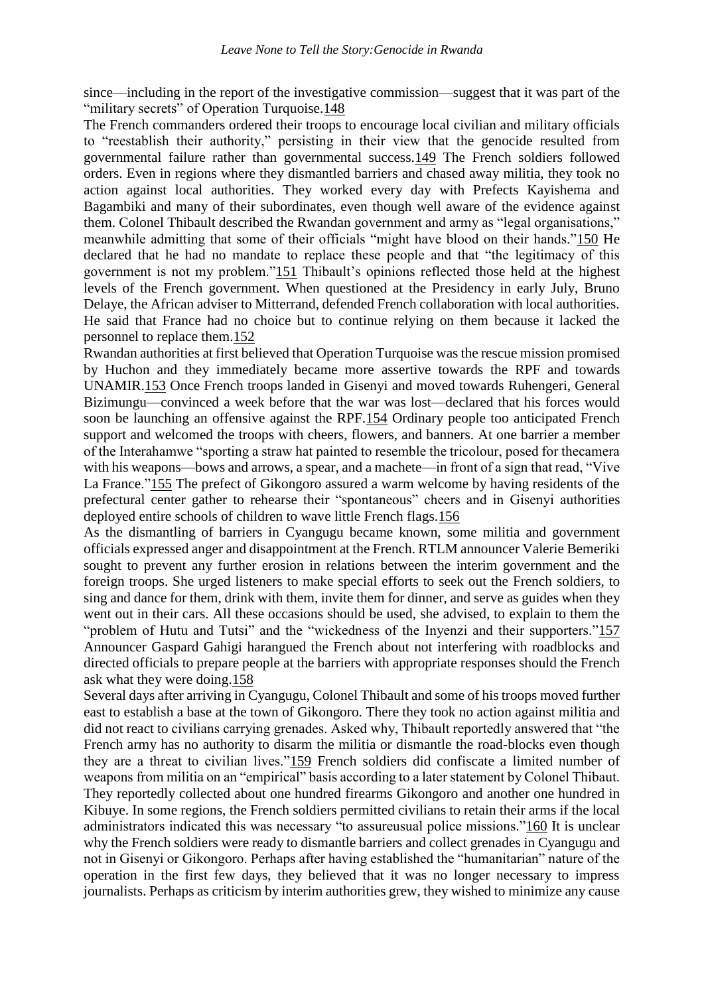since—including in the report of the investigative commission—suggest that it was part of the "military secrets" of Operation Turquoise[.148](https://www.hrw.org/reports/1999/rwanda/Geno15-8-02.htm#P597_195414)

The French commanders ordered their troops to encourage local civilian and military officials to "reestablish their authority," persisting in their view that the genocide resulted from governmental failure rather than governmental success[.149](https://www.hrw.org/reports/1999/rwanda/Geno15-8-02.htm#P599_195937) The French soldiers followed orders. Even in regions where they dismantled barriers and chased away militia, they took no action against local authorities. They worked every day with Prefects Kayishema and Bagambiki and many of their subordinates, even though well aware of the evidence against them. Colonel Thibault described the Rwandan government and army as "legal organisations," meanwhile admitting that some of their officials "might have blood on their hands.["150](https://www.hrw.org/reports/1999/rwanda/Geno15-8-02.htm#P600_196494) He declared that he had no mandate to replace these people and that "the legitimacy of this government is not my problem.["151](https://www.hrw.org/reports/1999/rwanda/Geno15-8-02.htm#P601_196705) Thibault's opinions reflected those held at the highest levels of the French government. When questioned at the Presidency in early July, Bruno Delaye, the African adviser to Mitterrand, defended French collaboration with local authorities. He said that France had no choice but to continue relying on them because it lacked the personnel to replace them[.152](https://www.hrw.org/reports/1999/rwanda/Geno15-8-02.htm#P602_197195)

Rwandan authorities at first believed that Operation Turquoise was the rescue mission promised by Huchon and they immediately became more assertive towards the RPF and towards UNAMIR[.153](https://www.hrw.org/reports/1999/rwanda/Geno15-8-02.htm#P604_197434) Once French troops landed in Gisenyi and moved towards Ruhengeri, General Bizimungu—convinced a week before that the war was lost—declared that his forces would soon be launching an offensive against the RPF[.154](https://www.hrw.org/reports/1999/rwanda/Geno15-8-02.htm#P605_197712) Ordinary people too anticipated French support and welcomed the troops with cheers, flowers, and banners. At one barrier a member of the Interahamwe "sporting a straw hat painted to resemble the tricolour, posed for thecamera with his weapons—bows and arrows, a spear, and a machete—in front of a sign that read, "Vive" La France.["155](https://www.hrw.org/reports/1999/rwanda/Geno15-8-02.htm#P606_198140) The prefect of Gikongoro assured a warm welcome by having residents of the prefectural center gather to rehearse their "spontaneous" cheers and in Gisenyi authorities deployed entire schools of children to wave little French flags[.156](https://www.hrw.org/reports/1999/rwanda/Geno15-8-02.htm#P607_198440)

As the dismantling of barriers in Cyangugu became known, some militia and government officials expressed anger and disappointment at the French. RTLM announcer Valerie Bemeriki sought to prevent any further erosion in relations between the interim government and the foreign troops. She urged listeners to make special efforts to seek out the French soldiers, to sing and dance for them, drink with them, invite them for dinner, and serve as guides when they went out in their cars. All these occasions should be used, she advised, to explain to them the "problem of Hutu and Tutsi" and the "wickedness of the Inyenzi and their supporters.["157](https://www.hrw.org/reports/1999/rwanda/Geno15-8-02.htm#P609_199198) Announcer Gaspard Gahigi harangued the French about not interfering with roadblocks and directed officials to prepare people at the barriers with appropriate responses should the French ask what they were doing[.158](https://www.hrw.org/reports/1999/rwanda/Geno15-8-02.htm#P610_199446)

Several days after arriving in Cyangugu, Colonel Thibault and some of his troops moved further east to establish a base at the town of Gikongoro. There they took no action against militia and did not react to civilians carrying grenades. Asked why, Thibault reportedly answered that "the French army has no authority to disarm the militia or dismantle the road-blocks even though they are a threat to civilian lives.["159](https://www.hrw.org/reports/1999/rwanda/Geno15-8-02.htm#P612_199889) French soldiers did confiscate a limited number of weapons from militia on an "empirical" basis according to a later statement by Colonel Thibaut. They reportedly collected about one hundred firearms Gikongoro and another one hundred in Kibuye. In some regions, the French soldiers permitted civilians to retain their arms if the local administrators indicated this was necessary "to assureusual police missions.["160](https://www.hrw.org/reports/1999/rwanda/Geno15-8-02.htm#P613_200457) It is unclear why the French soldiers were ready to dismantle barriers and collect grenades in Cyangugu and not in Gisenyi or Gikongoro. Perhaps after having established the "humanitarian" nature of the operation in the first few days, they believed that it was no longer necessary to impress journalists. Perhaps as criticism by interim authorities grew, they wished to minimize any cause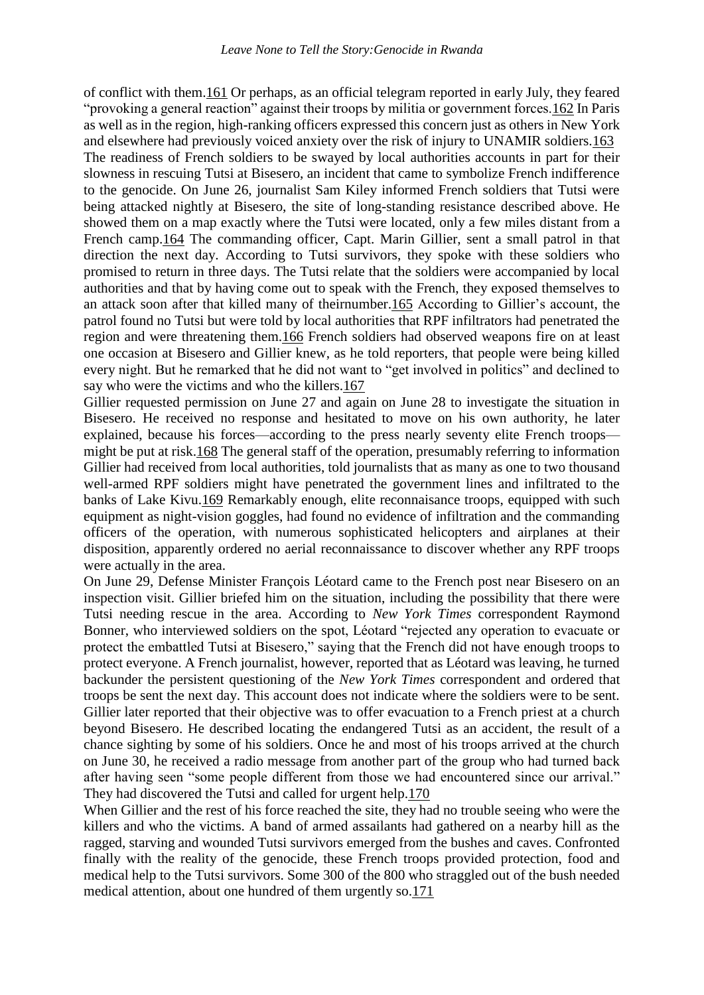of conflict with them[.161](https://www.hrw.org/reports/1999/rwanda/Geno15-8-02.htm#P614_200957) Or perhaps, as an official telegram reported in early July, they feared "provoking a general reaction" against their troops by militia or government forces[.162](https://www.hrw.org/reports/1999/rwanda/Geno15-8-02.htm#P615_201201) In Paris as well as in the region, high-ranking officers expressed this concern just as others in New York and elsewhere had previously voiced anxiety over the risk of injury to UNAMIR soldiers[.163](https://www.hrw.org/reports/1999/rwanda/Geno15-8-02.htm#P616_201411) The readiness of French soldiers to be swayed by local authorities accounts in part for their slowness in rescuing Tutsi at Bisesero, an incident that came to symbolize French indifference to the genocide. On June 26, journalist Sam Kiley informed French soldiers that Tutsi were being attacked nightly at Bisesero, the site of long-standing resistance described above. He showed them on a map exactly where the Tutsi were located, only a few miles distant from a French camp[.164](https://www.hrw.org/reports/1999/rwanda/Geno15-8-02.htm#P618_202173) The commanding officer, Capt. Marin Gillier, sent a small patrol in that direction the next day. According to Tutsi survivors, they spoke with these soldiers who promised to return in three days. The Tutsi relate that the soldiers were accompanied by local authorities and that by having come out to speak with the French, they exposed themselves to an attack soon after that killed many of theirnumber[.165](https://www.hrw.org/reports/1999/rwanda/Geno15-8-02.htm#P619_202869) According to Gillier's account, the patrol found no Tutsi but were told by local authorities that RPF infiltrators had penetrated the region and were threatening them[.166](https://www.hrw.org/reports/1999/rwanda/Geno15-8-02.htm#P620_203126) French soldiers had observed weapons fire on at least one occasion at Bisesero and Gillier knew, as he told reporters, that people were being killed every night. But he remarked that he did not want to "get involved in politics" and declined to say who were the victims and who the killers[.167](https://www.hrw.org/reports/1999/rwanda/Geno15-8-02.htm#P621_203504)

Gillier requested permission on June 27 and again on June 28 to investigate the situation in Bisesero. He received no response and hesitated to move on his own authority, he later explained, because his forces—according to the press nearly seventy elite French troops might be put at risk[.168](https://www.hrw.org/reports/1999/rwanda/Geno15-8-02.htm#P623_203873) The general staff of the operation, presumably referring to information Gillier had received from local authorities, told journalists that as many as one to two thousand well-armed RPF soldiers might have penetrated the government lines and infiltrated to the banks of Lake Kivu[.169](https://www.hrw.org/reports/1999/rwanda/Geno15-8-02.htm#P624_204240) Remarkably enough, elite reconnaisance troops, equipped with such equipment as night-vision goggles, had found no evidence of infiltration and the commanding officers of the operation, with numerous sophisticated helicopters and airplanes at their disposition, apparently ordered no aerial reconnaissance to discover whether any RPF troops were actually in the area.

On June 29, Defense Minister François Léotard came to the French post near Bisesero on an inspection visit. Gillier briefed him on the situation, including the possibility that there were Tutsi needing rescue in the area. According to *New York Times* correspondent Raymond Bonner, who interviewed soldiers on the spot, Léotard "rejected any operation to evacuate or protect the embattled Tutsi at Bisesero," saying that the French did not have enough troops to protect everyone. A French journalist, however, reported that as Léotard was leaving, he turned backunder the persistent questioning of the *New York Times* correspondent and ordered that troops be sent the next day. This account does not indicate where the soldiers were to be sent. Gillier later reported that their objective was to offer evacuation to a French priest at a church beyond Bisesero. He described locating the endangered Tutsi as an accident, the result of a chance sighting by some of his soldiers. Once he and most of his troops arrived at the church on June 30, he received a radio message from another part of the group who had turned back after having seen "some people different from those we had encountered since our arrival." They had discovered the Tutsi and called for urgent help[.170](https://www.hrw.org/reports/1999/rwanda/Geno15-8-02.htm#P626_205985)

When Gillier and the rest of his force reached the site, they had no trouble seeing who were the killers and who the victims. A band of armed assailants had gathered on a nearby hill as the ragged, starving and wounded Tutsi survivors emerged from the bushes and caves. Confronted finally with the reality of the genocide, these French troops provided protection, food and medical help to the Tutsi survivors. Some 300 of the 800 who straggled out of the bush needed medical attention, about one hundred of them urgently so[.171](https://www.hrw.org/reports/1999/rwanda/Geno15-8-02.htm#P628_207014)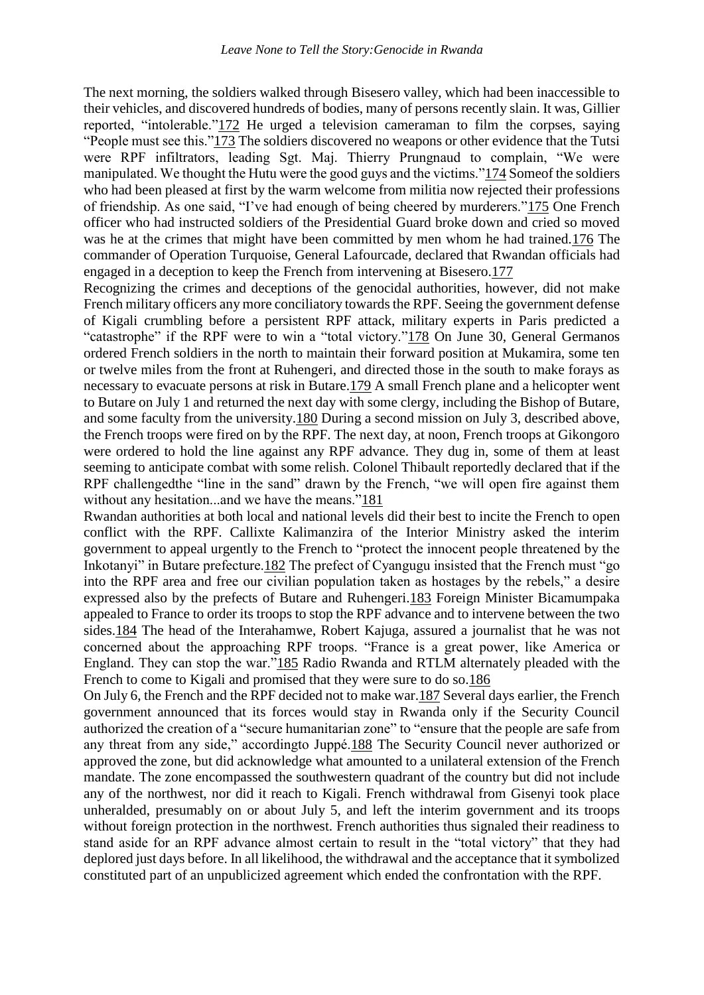The next morning, the soldiers walked through Bisesero valley, which had been inaccessible to their vehicles, and discovered hundreds of bodies, many of persons recently slain. It was, Gillier reported, "intolerable.["172](https://www.hrw.org/reports/1999/rwanda/Geno15-8-02.htm#P630_207318) He urged a television cameraman to film the corpses, saying "People must see this.["173](https://www.hrw.org/reports/1999/rwanda/Geno15-8-02.htm#P631_207417) The soldiers discovered no weapons or other evidence that the Tutsi were RPF infiltrators, leading Sgt. Maj. Thierry Prungnaud to complain, "We were manipulated. We thought the Hutu were the good guys and the victims.["174](https://www.hrw.org/reports/1999/rwanda/Geno15-8-02.htm#P632_207724) Some of the soldiers who had been pleased at first by the warm welcome from militia now rejected their professions of friendship. As one said, "I've had enough of being cheered by murderers.["175](https://www.hrw.org/reports/1999/rwanda/Geno15-8-02.htm#P633_207921) One French officer who had instructed soldiers of the Presidential Guard broke down and cried so moved was he at the crimes that might have been committed by men whom he had trained[.176](https://www.hrw.org/reports/1999/rwanda/Geno15-8-02.htm#P634_208151) The commander of Operation Turquoise, General Lafourcade, declared that Rwandan officials had engaged in a deception to keep the French from intervening at Bisesero[.177](https://www.hrw.org/reports/1999/rwanda/Geno15-8-02.htm#P635_208415)

Recognizing the crimes and deceptions of the genocidal authorities, however, did not make French military officers any more conciliatory towards the RPF. Seeing the government defense of Kigali crumbling before a persistent RPF attack, military experts in Paris predicted a "catastrophe" if the RPF were to win a "total victory.["178](https://www.hrw.org/reports/1999/rwanda/Geno15-8-02.htm#P637_208982) On June 30, General Germanos ordered French soldiers in the north to maintain their forward position at Mukamira, some ten or twelve miles from the front at Ruhengeri, and directed those in the south to make forays as necessary to evacuate persons at risk in Butare[.179](https://www.hrw.org/reports/1999/rwanda/Geno15-8-02.htm#P638_209352) A small French plane and a helicopter went to Butare on July 1 and returned the next day with some clergy, including the Bishop of Butare, and some faculty from the university[.180](https://www.hrw.org/reports/1999/rwanda/Geno15-8-02.htm#P639_209615) During a second mission on July 3, described above, the French troops were fired on by the RPF. The next day, at noon, French troops at Gikongoro were ordered to hold the line against any RPF advance. They dug in, some of them at least seeming to anticipate combat with some relish. Colonel Thibault reportedly declared that if the RPF challengedthe "line in the sand" drawn by the French, "we will open fire against them without any hesitation...and we have the means.["181](https://www.hrw.org/reports/1999/rwanda/Geno15-8-02.htm#P640_210162)

Rwandan authorities at both local and national levels did their best to incite the French to open conflict with the RPF. Callixte Kalimanzira of the Interior Ministry asked the interim government to appeal urgently to the French to "protect the innocent people threatened by the Inkotanyi" in Butare prefecture[.182](https://www.hrw.org/reports/1999/rwanda/Geno15-8-02.htm#P642_210572) The prefect of Cyangugu insisted that the French must "go into the RPF area and free our civilian population taken as hostages by the rebels," a desire expressed also by the prefects of Butare and Ruhengeri[.183](https://www.hrw.org/reports/1999/rwanda/Geno15-8-02.htm#P643_210878) Foreign Minister Bicamumpaka appealed to France to order its troops to stop the RPF advance and to intervene between the two sides[.184](https://www.hrw.org/reports/1999/rwanda/Geno15-8-02.htm#P644_211234) The head of the Interahamwe, Robert Kajuga, assured a journalist that he was not concerned about the approaching RPF troops. "France is a great power, like America or England. They can stop the war.["185](https://www.hrw.org/reports/1999/rwanda/Geno15-8-02.htm#P645_211510) Radio Rwanda and RTLM alternately pleaded with the French to come to Kigali and promised that they were sure to do so[.186](https://www.hrw.org/reports/1999/rwanda/Geno15-8-02.htm#P646_211697)

On July 6, the French and the RPF decided not to make war[.187](https://www.hrw.org/reports/1999/rwanda/Geno15-8-02.htm#P648_211853) Several days earlier, the French government announced that its forces would stay in Rwanda only if the Security Council authorized the creation of a "secure humanitarian zone" to "ensure that the people are safe from any threat from any side," accordingto Juppé[.188](https://www.hrw.org/reports/1999/rwanda/Geno15-8-02.htm#P649_212205) The Security Council never authorized or approved the zone, but did acknowledge what amounted to a unilateral extension of the French mandate. The zone encompassed the southwestern quadrant of the country but did not include any of the northwest, nor did it reach to Kigali. French withdrawal from Gisenyi took place unheralded, presumably on or about July 5, and left the interim government and its troops without foreign protection in the northwest. French authorities thus signaled their readiness to stand aside for an RPF advance almost certain to result in the "total victory" that they had deplored just days before. In all likelihood, the withdrawal and the acceptance that it symbolized constituted part of an unpublicized agreement which ended the confrontation with the RPF.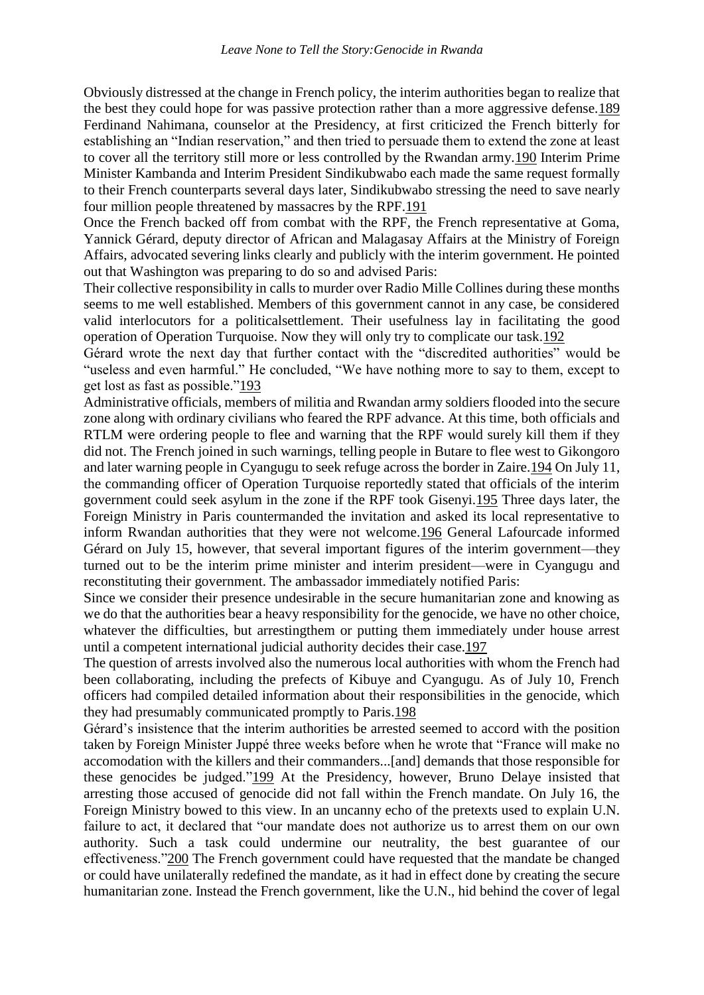Obviously distressed at the change in French policy, the interim authorities began to realize that the best they could hope for was passive protection rather than a more aggressive defense[.189](https://www.hrw.org/reports/1999/rwanda/Geno15-8-02.htm#P651_213210) Ferdinand Nahimana, counselor at the Presidency, at first criticized the French bitterly for establishing an "Indian reservation," and then tried to persuade them to extend the zone at least to cover all the territory still more or less controlled by the Rwandan army[.190](https://www.hrw.org/reports/1999/rwanda/Geno15-8-02.htm#P652_213577) Interim Prime Minister Kambanda and Interim President Sindikubwabo each made the same request formally to their French counterparts several days later, Sindikubwabo stressing the need to save nearly four million people threatened by massacres by the RPF[.191](https://www.hrw.org/reports/1999/rwanda/Geno15-8-02.htm#P653_213960)

Once the French backed off from combat with the RPF, the French representative at Goma, Yannick Gérard, deputy director of African and Malagasay Affairs at the Ministry of Foreign Affairs, advocated severing links clearly and publicly with the interim government. He pointed out that Washington was preparing to do so and advised Paris:

Their collective responsibility in calls to murder over Radio Mille Collines during these months seems to me well established. Members of this government cannot in any case, be considered valid interlocutors for a politicalsettlement. Their usefulness lay in facilitating the good operation of Operation Turquoise. Now they will only try to complicate our task[.192](https://www.hrw.org/reports/1999/rwanda/Geno15-8-02.htm#P657_214748)

Gérard wrote the next day that further contact with the "discredited authorities" would be "useless and even harmful." He concluded, "We have nothing more to say to them, except to get lost as fast as possible.["193](https://www.hrw.org/reports/1999/rwanda/Geno15-8-02.htm#P660_214974)

Administrative officials, members of militia and Rwandan army soldiers flooded into the secure zone along with ordinary civilians who feared the RPF advance. At this time, both officials and RTLM were ordering people to flee and warning that the RPF would surely kill them if they did not. The French joined in such warnings, telling people in Butare to flee west to Gikongoro and later warning people in Cyangugu to seek refuge across the border in Zaire[.194](https://www.hrw.org/reports/1999/rwanda/Geno15-8-02.htm#P662_215445) On July 11, the commanding officer of Operation Turquoise reportedly stated that officials of the interim government could seek asylum in the zone if the RPF took Gisenyi[.195](https://www.hrw.org/reports/1999/rwanda/Geno15-8-02.htm#P663_215768) Three days later, the Foreign Ministry in Paris countermanded the invitation and asked its local representative to inform Rwandan authorities that they were not welcome[.196](https://www.hrw.org/reports/1999/rwanda/Geno15-8-02.htm#P664_215974) General Lafourcade informed Gérard on July 15, however, that several important figures of the interim government—they turned out to be the interim prime minister and interim president—were in Cyangugu and reconstituting their government. The ambassador immediately notified Paris:

Since we consider their presence undesirable in the secure humanitarian zone and knowing as we do that the authorities bear a heavy responsibility for the genocide, we have no other choice, whatever the difficulties, but arrestingthem or putting them immediately under house arrest until a competent international judicial authority decides their case[.197](https://www.hrw.org/reports/1999/rwanda/Geno15-8-02.htm#P667_216693)

The question of arrests involved also the numerous local authorities with whom the French had been collaborating, including the prefects of Kibuye and Cyangugu. As of July 10, French officers had compiled detailed information about their responsibilities in the genocide, which they had presumably communicated promptly to Paris[.198](https://www.hrw.org/reports/1999/rwanda/Geno15-8-02.htm#P670_217037)

Gérard's insistence that the interim authorities be arrested seemed to accord with the position taken by Foreign Minister Juppé three weeks before when he wrote that "France will make no accomodation with the killers and their commanders...[and] demands that those responsible for these genocides be judged.["199](https://www.hrw.org/reports/1999/rwanda/Geno15-8-02.htm#P672_217442) At the Presidency, however, Bruno Delaye insisted that arresting those accused of genocide did not fall within the French mandate. On July 16, the Foreign Ministry bowed to this view. In an uncanny echo of the pretexts used to explain U.N. failure to act, it declared that "our mandate does not authorize us to arrest them on our own authority. Such a task could undermine our neutrality, the best guarantee of our effectiveness.["200](https://www.hrw.org/reports/1999/rwanda/Geno15-8-02.htm#P673_217935) The French government could have requested that the mandate be changed or could have unilaterally redefined the mandate, as it had in effect done by creating the secure humanitarian zone. Instead the French government, like the U.N., hid behind the cover of legal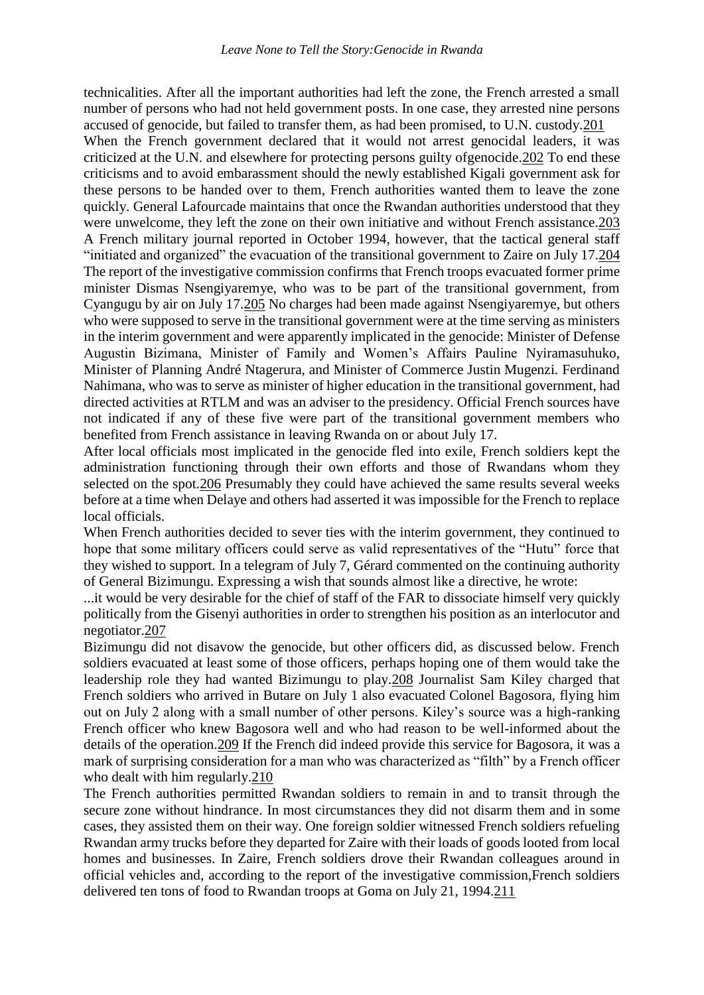technicalities. After all the important authorities had left the zone, the French arrested a small number of persons who had not held government posts. In one case, they arrested nine persons accused of genocide, but failed to transfer them, as had been promised, to U.N. custody[.201](https://www.hrw.org/reports/1999/rwanda/Geno15-8-02.htm#P674_218566) When the French government declared that it would not arrest genocidal leaders, it was criticized at the U.N. and elsewhere for protecting persons guilty ofgenocide[.202](https://www.hrw.org/reports/1999/rwanda/Geno15-8-02.htm#P676_218786) To end these criticisms and to avoid embarassment should the newly established Kigali government ask for these persons to be handed over to them, French authorities wanted them to leave the zone quickly. General Lafourcade maintains that once the Rwandan authorities understood that they were unwelcome, they left the zone on their own initiative and without French assistance[.203](https://www.hrw.org/reports/1999/rwanda/Geno15-8-02.htm#P677_219257) A French military journal reported in October 1994, however, that the tactical general staff "initiated and organized" the evacuation of the transitional government to Zaire on July 17[.204](https://www.hrw.org/reports/1999/rwanda/Geno15-8-02.htm#P678_219460) The report of the investigative commission confirms that French troops evacuated former prime minister Dismas Nsengiyaremye, who was to be part of the transitional government, from Cyangugu by air on July 17[.205](https://www.hrw.org/reports/1999/rwanda/Geno15-8-02.htm#P679_219768) No charges had been made against Nsengiyaremye, but others who were supposed to serve in the transitional government were at the time serving as ministers in the interim government and were apparently implicated in the genocide: Minister of Defense Augustin Bizimana, Minister of Family and Women's Affairs Pauline Nyiramasuhuko, Minister of Planning André Ntagerura, and Minister of Commerce Justin Mugenzi. Ferdinand Nahimana, who was to serve as minister of higher education in the transitional government, had directed activities at RTLM and was an adviser to the presidency. Official French sources have not indicated if any of these five were part of the transitional government members who benefited from French assistance in leaving Rwanda on or about July 17.

After local officials most implicated in the genocide fled into exile, French soldiers kept the administration functioning through their own efforts and those of Rwandans whom they selected on the spot[.206](https://www.hrw.org/reports/1999/rwanda/Geno15-8-02.htm#P681_220825) Presumably they could have achieved the same results several weeks before at a time when Delaye and others had asserted it was impossible for the French to replace local officials.

When French authorities decided to sever ties with the interim government, they continued to hope that some military officers could serve as valid representatives of the "Hutu" force that they wished to support. In a telegram of July 7, Gérard commented on the continuing authority of General Bizimungu. Expressing a wish that sounds almost like a directive, he wrote:

...it would be very desirable for the chief of staff of the FAR to dissociate himself very quickly politically from the Gisenyi authorities in order to strengthen his position as an interlocutor and negotiator[.207](https://www.hrw.org/reports/1999/rwanda/Geno15-8-02.htm#P685_221599)

Bizimungu did not disavow the genocide, but other officers did, as discussed below. French soldiers evacuated at least some of those officers, perhaps hoping one of them would take the leadership role they had wanted Bizimungu to play[.208](https://www.hrw.org/reports/1999/rwanda/Geno15-8-02.htm#P688_221922) Journalist Sam Kiley charged that French soldiers who arrived in Butare on July 1 also evacuated Colonel Bagosora, flying him out on July 2 along with a small number of other persons. Kiley's source was a high-ranking French officer who knew Bagosora well and who had reason to be well-informed about the details of the operation[.209](https://www.hrw.org/reports/1999/rwanda/Geno15-8-02.htm#P689_222348) If the French did indeed provide this service for Bagosora, it was a mark of surprising consideration for a man who was characterized as "filth" by a French officer who dealt with him regularly[.210](https://www.hrw.org/reports/1999/rwanda/Geno15-8-02.htm#P690_222683)

The French authorities permitted Rwandan soldiers to remain in and to transit through the secure zone without hindrance. In most circumstances they did not disarm them and in some cases, they assisted them on their way. One foreign soldier witnessed French soldiers refueling Rwandan army trucks before they departed for Zaire with their loads of goods looted from local homes and businesses. In Zaire, French soldiers drove their Rwandan colleagues around in official vehicles and, according to the report of the investigative commission,French soldiers delivered ten tons of food to Rwandan troops at Goma on July 21, 1994[.211](https://www.hrw.org/reports/1999/rwanda/Geno15-8-02.htm#P692_223394)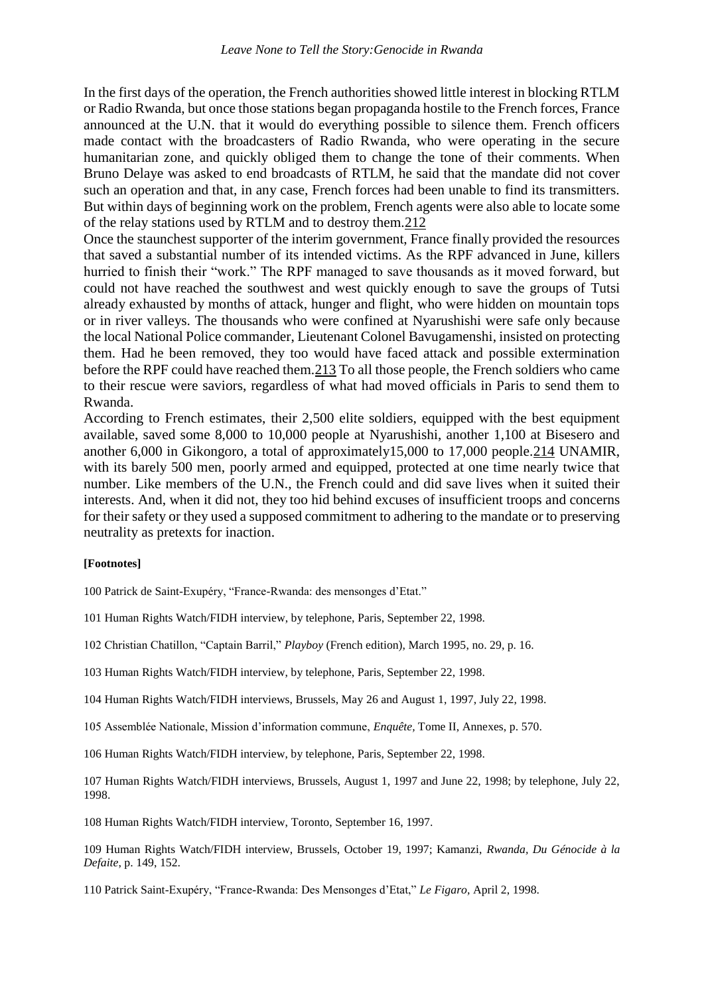In the first days of the operation, the French authorities showed little interest in blocking RTLM or Radio Rwanda, but once those stations began propaganda hostile to the French forces, France announced at the U.N. that it would do everything possible to silence them. French officers made contact with the broadcasters of Radio Rwanda, who were operating in the secure humanitarian zone, and quickly obliged them to change the tone of their comments. When Bruno Delaye was asked to end broadcasts of RTLM, he said that the mandate did not cover such an operation and that, in any case, French forces had been unable to find its transmitters. But within days of beginning work on the problem, French agents were also able to locate some of the relay stations used by RTLM and to destroy them[.212](https://www.hrw.org/reports/1999/rwanda/Geno15-8-02.htm#P694_224285)

Once the staunchest supporter of the interim government, France finally provided the resources that saved a substantial number of its intended victims. As the RPF advanced in June, killers hurried to finish their "work." The RPF managed to save thousands as it moved forward, but could not have reached the southwest and west quickly enough to save the groups of Tutsi already exhausted by months of attack, hunger and flight, who were hidden on mountain tops or in river valleys. The thousands who were confined at Nyarushishi were safe only because the local National Police commander, Lieutenant Colonel Bavugamenshi, insisted on protecting them. Had he been removed, they too would have faced attack and possible extermination before the RPF could have reached them[.213](https://www.hrw.org/reports/1999/rwanda/Geno15-8-02.htm#P696_225202) To all those people, the French soldiers who came to their rescue were saviors, regardless of what had moved officials in Paris to send them to Rwanda.

According to French estimates, their 2,500 elite soldiers, equipped with the best equipment available, saved some 8,000 to 10,000 people at Nyarushishi, another 1,100 at Bisesero and another 6,000 in Gikongoro, a total of approximately15,000 to 17,000 people[.214](https://www.hrw.org/reports/1999/rwanda/Geno15-8-02.htm#P698_225688) UNAMIR, with its barely 500 men, poorly armed and equipped, protected at one time nearly twice that number. Like members of the U.N., the French could and did save lives when it suited their interests. And, when it did not, they too hid behind excuses of insufficient troops and concerns for their safety or they used a supposed commitment to adhering to the mandate or to preserving neutrality as pretexts for inaction.

## **[Footnotes]**

100 Patrick de Saint-Exupéry, "France-Rwanda: des mensonges d'Etat."

- 101 Human Rights Watch/FIDH interview, by telephone, Paris, September 22, 1998.
- 102 Christian Chatillon, "Captain Barril," *Playboy* (French edition), March 1995, no. 29, p. 16.
- 103 Human Rights Watch/FIDH interview, by telephone, Paris, September 22, 1998.
- 104 Human Rights Watch/FIDH interviews, Brussels, May 26 and August 1, 1997, July 22, 1998.
- 105 Assemblée Nationale, Mission d'information commune, *Enquête,* Tome II, Annexes, p. 570.

106 Human Rights Watch/FIDH interview, by telephone, Paris, September 22, 1998.

107 Human Rights Watch/FIDH interviews, Brussels, August 1, 1997 and June 22, 1998; by telephone, July 22, 1998.

108 Human Rights Watch/FIDH interview, Toronto, September 16, 1997.

109 Human Rights Watch/FIDH interview, Brussels, October 19, 1997; Kamanzi, *Rwanda, Du Génocide à la Defaite*, p. 149, 152.

110 Patrick Saint-Exupéry, "France-Rwanda: Des Mensonges d'Etat," *Le Figaro,* April 2, 1998.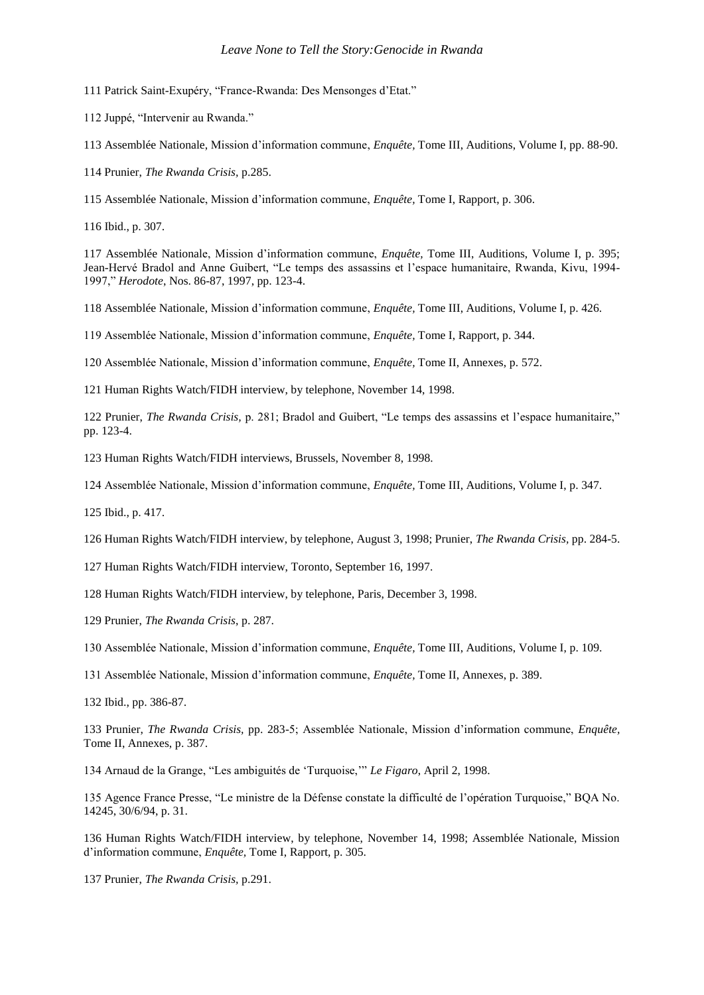111 Patrick Saint-Exupéry, "France-Rwanda: Des Mensonges d'Etat."

112 Juppé, "Intervenir au Rwanda."

113 Assemblée Nationale, Mission d'information commune, *Enquête,* Tome III, Auditions, Volume I, pp. 88-90.

114 Prunier, *The Rwanda Crisis,* p.285.

115 Assemblée Nationale, Mission d'information commune, *Enquête,* Tome I, Rapport, p. 306.

116 Ibid., p. 307.

117 Assemblée Nationale, Mission d'information commune, *Enquête,* Tome III, Auditions, Volume I, p. 395; Jean-Hervé Bradol and Anne Guibert, "Le temps des assassins et l'espace humanitaire, Rwanda, Kivu, 1994- 1997," *Herodote*, Nos. 86-87, 1997, pp. 123-4.

118 Assemblée Nationale, Mission d'information commune, *Enquête,* Tome III, Auditions, Volume I, p. 426.

119 Assemblée Nationale, Mission d'information commune, *Enquête,* Tome I, Rapport, p. 344.

120 Assemblée Nationale, Mission d'information commune, *Enquête,* Tome II, Annexes, p. 572.

121 Human Rights Watch/FIDH interview, by telephone, November 14, 1998.

122 Prunier, *The Rwanda Crisis,* p. 281; Bradol and Guibert, "Le temps des assassins et l'espace humanitaire," pp. 123-4.

123 Human Rights Watch/FIDH interviews, Brussels, November 8, 1998.

124 Assemblée Nationale, Mission d'information commune, *Enquête,* Tome III, Auditions, Volume I, p. 347.

125 Ibid., p. 417.

126 Human Rights Watch/FIDH interview, by telephone, August 3, 1998; Prunier, *The Rwanda Crisis,* pp. 284-5.

127 Human Rights Watch/FIDH interview, Toronto, September 16, 1997.

128 Human Rights Watch/FIDH interview, by telephone, Paris, December 3, 1998.

129 Prunier, *The Rwanda Crisis*, p. 287.

130 Assemblée Nationale, Mission d'information commune, *Enquête,* Tome III, Auditions, Volume I, p. 109.

131 Assemblée Nationale, Mission d'information commune, *Enquête,* Tome II, Annexes, p. 389.

132 Ibid., pp. 386-87.

133 Prunier, *The Rwanda Crisis,* pp. 283-5; Assemblée Nationale, Mission d'information commune, *Enquête,*  Tome II, Annexes, p. 387.

134 Arnaud de la Grange, "Les ambiguités de 'Turquoise,'" *Le Figaro*, April 2, 1998.

135 Agence France Presse, "Le ministre de la Défense constate la difficulté de l'opération Turquoise," BQA No. 14245, 30/6/94, p. 31.

136 Human Rights Watch/FIDH interview, by telephone, November 14, 1998; Assemblée Nationale, Mission d'information commune, *Enquête,* Tome I, Rapport, p. 305.

137 Prunier, *The Rwanda Crisis,* p.291.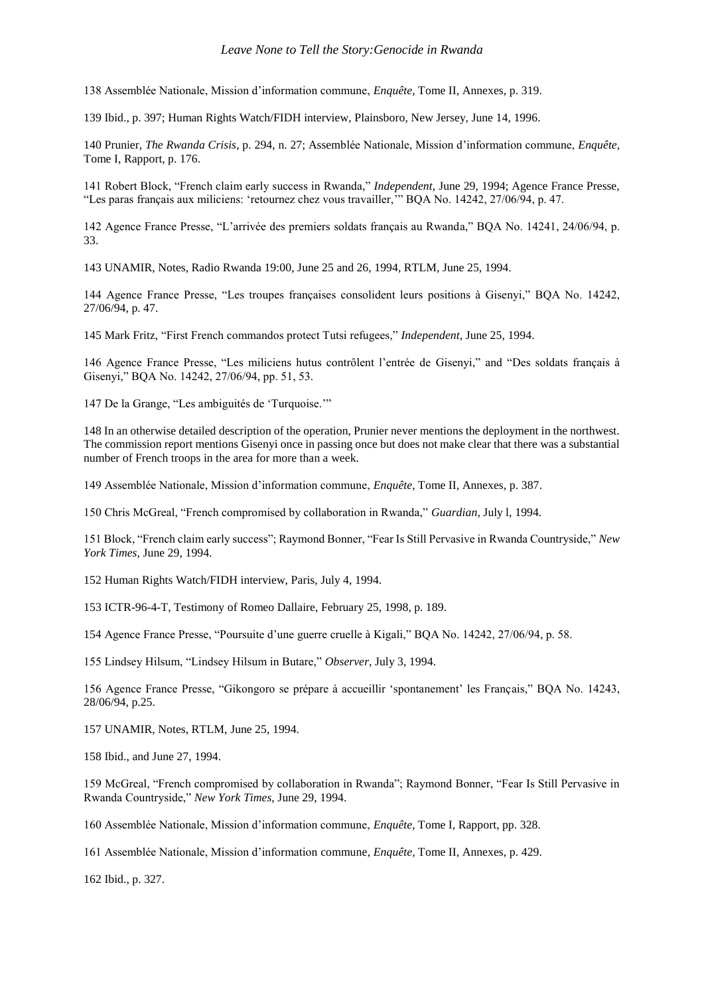### *Leave None to Tell the Story:Genocide in Rwanda*

138 Assemblée Nationale, Mission d'information commune, *Enquête,* Tome II, Annexes, p. 319.

139 Ibid., p. 397; Human Rights Watch/FIDH interview, Plainsboro, New Jersey, June 14, 1996.

140 Prunier, *The Rwanda Crisis*, p. 294, n. 27; Assemblée Nationale, Mission d'information commune, *Enquête,*  Tome I, Rapport, p. 176.

141 Robert Block, "French claim early success in Rwanda," *Independent,* June 29, 1994; Agence France Presse, "Les paras français aux miliciens: 'retournez chez vous travailler,'" BQA No. 14242, 27/06/94, p. 47.

142 Agence France Presse, "L'arrivée des premiers soldats français au Rwanda," BQA No. 14241, 24/06/94, p. 33.

143 UNAMIR, Notes, Radio Rwanda 19:00, June 25 and 26, 1994, RTLM, June 25, 1994.

144 Agence France Presse, "Les troupes françaises consolident leurs positions à Gisenyi," BQA No. 14242, 27/06/94, p. 47.

145 Mark Fritz, "First French commandos protect Tutsi refugees," *Independent*, June 25, 1994.

146 Agence France Presse, "Les miliciens hutus contrôlent l'entrée de Gisenyi," and "Des soldats français à Gisenyi," BQA No. 14242, 27/06/94, pp. 51, 53.

147 De la Grange, "Les ambiguités de 'Turquoise.'"

148 In an otherwise detailed description of the operation, Prunier never mentions the deployment in the northwest. The commission report mentions Gisenyi once in passing once but does not make clear that there was a substantial number of French troops in the area for more than a week.

149 Assemblée Nationale, Mission d'information commune, *Enquête,* Tome II, Annexes, p. 387.

150 Chris McGreal, "French compromised by collaboration in Rwanda," *Guardian*, July l, 1994.

151 Block, "French claim early success"; Raymond Bonner, "Fear Is Still Pervasive in Rwanda Countryside," *New York Times,* June 29, 1994.

152 Human Rights Watch/FIDH interview, Paris, July 4, 1994.

153 ICTR-96-4-T, Testimony of Romeo Dallaire, February 25, 1998, p. 189.

154 Agence France Presse, "Poursuite d'une guerre cruelle à Kigali," BQA No. 14242, 27/06/94, p. 58.

155 Lindsey Hilsum, "Lindsey Hilsum in Butare," *Observer*, July 3, 1994.

156 Agence France Presse, "Gikongoro se prépare à accueillir 'spontanement' les Français," BQA No. 14243, 28/06/94, p.25.

157 UNAMIR, Notes, RTLM, June 25, 1994.

158 Ibid., and June 27, 1994.

159 McGreal, "French compromised by collaboration in Rwanda"; Raymond Bonner, "Fear Is Still Pervasive in Rwanda Countryside," *New York Times,* June 29, 1994.

160 Assemblée Nationale, Mission d'information commune, *Enquête,* Tome I, Rapport, pp. 328.

161 Assemblée Nationale, Mission d'information commune, *Enquête,* Tome II, Annexes, p. 429.

162 Ibid., p. 327.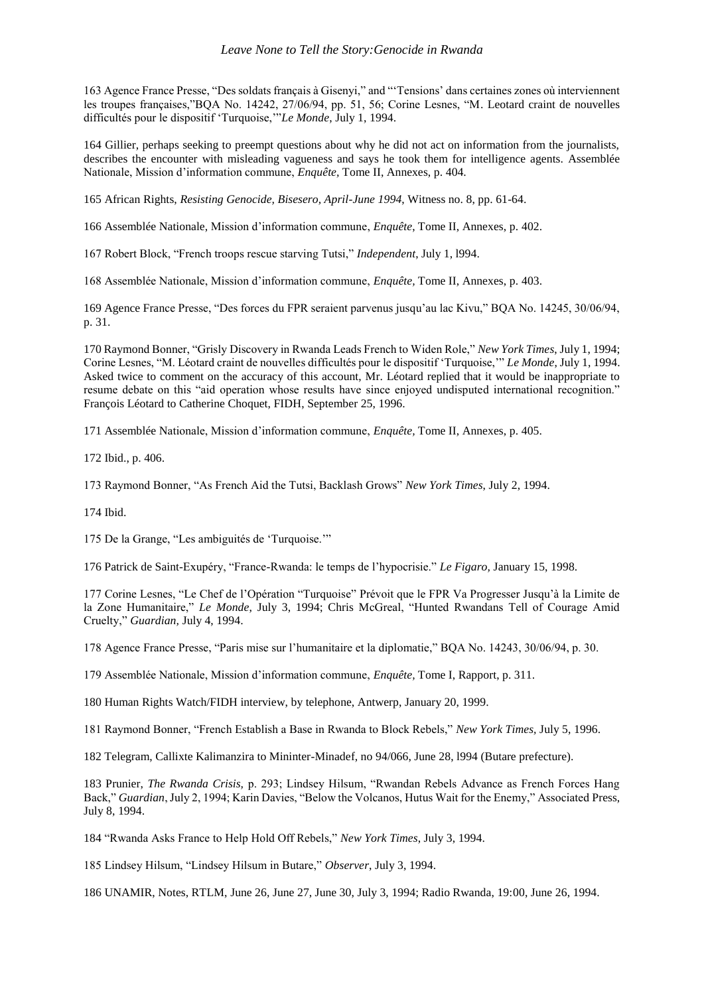163 Agence France Presse, "Des soldats français à Gisenyi," and "'Tensions' dans certaines zones où interviennent les troupes françaises,"BQA No. 14242, 27/06/94, pp. 51, 56; Corine Lesnes, "M. Leotard craint de nouvelles difficultés pour le dispositif 'Turquoise,'"*Le Monde*, July 1, 1994.

164 Gillier, perhaps seeking to preempt questions about why he did not act on information from the journalists, describes the encounter with misleading vagueness and says he took them for intelligence agents. Assemblée Nationale, Mission d'information commune, *Enquête,* Tome II, Annexes, p. 404.

165 African Rights, *Resisting Genocide, Bisesero, April-June 1994*, Witness no. 8, pp. 61-64.

166 Assemblée Nationale, Mission d'information commune, *Enquête*, Tome II, Annexes, p. 402.

167 Robert Block, "French troops rescue starving Tutsi," *Independent*, July 1, l994.

168 Assemblée Nationale, Mission d'information commune, *Enquête,* Tome II, Annexes, p. 403.

169 Agence France Presse, "Des forces du FPR seraient parvenus jusqu'au lac Kivu," BQA No. 14245, 30/06/94, p. 31.

170 Raymond Bonner, "Grisly Discovery in Rwanda Leads French to Widen Role," *New York Times*, July 1, 1994; Corine Lesnes, "M. Léotard craint de nouvelles difficultés pour le dispositif 'Turquoise,'" *Le Monde*, July 1, 1994. Asked twice to comment on the accuracy of this account, Mr. Léotard replied that it would be inappropriate to resume debate on this "aid operation whose results have since enjoyed undisputed international recognition." François Léotard to Catherine Choquet, FIDH, September 25, 1996.

171 Assemblée Nationale, Mission d'information commune, *Enquête,* Tome II, Annexes, p. 405.

172 Ibid., p. 406.

173 Raymond Bonner, "As French Aid the Tutsi, Backlash Grows" *New York Times*, July 2, 1994.

174 Ibid.

175 De la Grange, "Les ambiguités de 'Turquoise.'"

176 Patrick de Saint-Exupéry, "France-Rwanda: le temps de l'hypocrisie." *Le Figaro,* January 15, 1998.

177 Corine Lesnes, "Le Chef de l'Opération "Turquoise" Prévoit que le FPR Va Progresser Jusqu'à la Limite de la Zone Humanitaire," *Le Monde*, July 3, 1994; Chris McGreal, "Hunted Rwandans Tell of Courage Amid Cruelty," *Guardian,* July 4, 1994.

178 Agence France Presse, "Paris mise sur l'humanitaire et la diplomatie," BQA No. 14243, 30/06/94, p. 30.

179 Assemblée Nationale, Mission d'information commune, *Enquête,* Tome I, Rapport, p. 311.

180 Human Rights Watch/FIDH interview, by telephone, Antwerp, January 20, 1999.

181 Raymond Bonner, "French Establish a Base in Rwanda to Block Rebels," *New York Times,* July 5, 1996.

182 Telegram, Callixte Kalimanzira to Mininter-Minadef, no 94/066, June 28, l994 (Butare prefecture).

183 Prunier, *The Rwanda Crisis,* p. 293; Lindsey Hilsum, "Rwandan Rebels Advance as French Forces Hang Back," *Guardian*, July 2, 1994; Karin Davies, "Below the Volcanos, Hutus Wait for the Enemy," Associated Press, July 8, 1994.

184 "Rwanda Asks France to Help Hold Off Rebels," *New York Times*, July 3, 1994.

185 Lindsey Hilsum, "Lindsey Hilsum in Butare," *Observer*, July 3, 1994.

186 UNAMIR, Notes, RTLM, June 26, June 27, June 30, July 3, 1994; Radio Rwanda, 19:00, June 26, 1994.